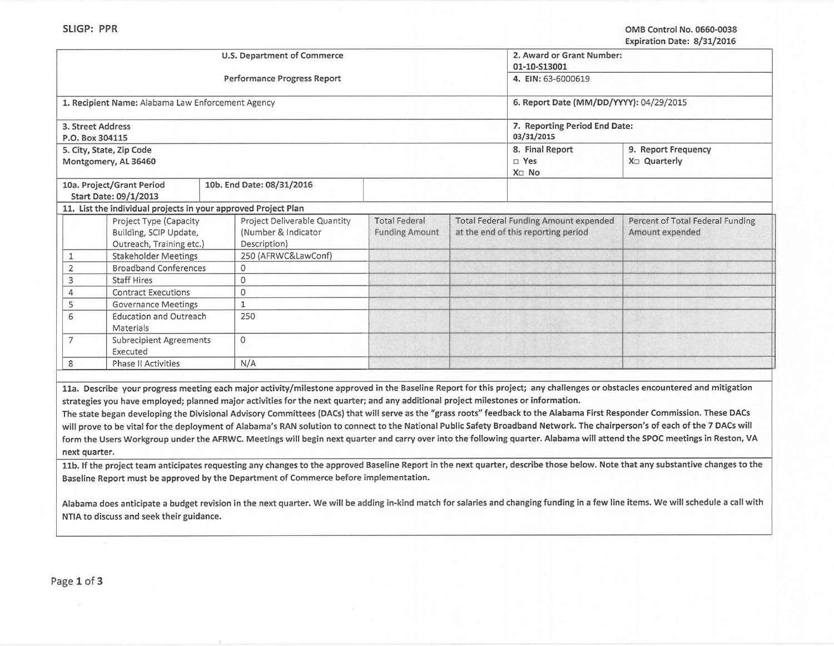| U.S. Department of Commerce                                  |                                                                |                                                                                                                                                                                                                                                                                                                                                                                                                                                                                                                                                                                                                                                                                                                                                                                                                                                                                                                                                    |                                             |  | 2. Award or Grant Number:<br>01-10-S13001                                           |                                                                                                                                                                                    |  |
|--------------------------------------------------------------|----------------------------------------------------------------|----------------------------------------------------------------------------------------------------------------------------------------------------------------------------------------------------------------------------------------------------------------------------------------------------------------------------------------------------------------------------------------------------------------------------------------------------------------------------------------------------------------------------------------------------------------------------------------------------------------------------------------------------------------------------------------------------------------------------------------------------------------------------------------------------------------------------------------------------------------------------------------------------------------------------------------------------|---------------------------------------------|--|-------------------------------------------------------------------------------------|------------------------------------------------------------------------------------------------------------------------------------------------------------------------------------|--|
|                                                              |                                                                | Performance Progress Report                                                                                                                                                                                                                                                                                                                                                                                                                                                                                                                                                                                                                                                                                                                                                                                                                                                                                                                        | 4. EIN: 63-6000619                          |  |                                                                                     |                                                                                                                                                                                    |  |
|                                                              | 1. Recipient Name: Alabama Law Enforcement Agency              |                                                                                                                                                                                                                                                                                                                                                                                                                                                                                                                                                                                                                                                                                                                                                                                                                                                                                                                                                    | 6. Report Date (MM/DD/YYYY): 04/29/2015     |  |                                                                                     |                                                                                                                                                                                    |  |
| 3. Street Address<br>P.O. Box 304115                         |                                                                |                                                                                                                                                                                                                                                                                                                                                                                                                                                                                                                                                                                                                                                                                                                                                                                                                                                                                                                                                    | 7. Reporting Period End Date:<br>03/31/2015 |  |                                                                                     |                                                                                                                                                                                    |  |
| 5. City, State, Zip Code<br>Montgomery, AL 36460             |                                                                |                                                                                                                                                                                                                                                                                                                                                                                                                                                                                                                                                                                                                                                                                                                                                                                                                                                                                                                                                    |                                             |  | 8. Final Report<br>$\square$ Yes<br>X <sub>D</sub> No                               | 9. Report Frequency<br>X <sub>□</sub> Quarterly                                                                                                                                    |  |
|                                                              | 10a. Project/Grant Period                                      | 10b. End Date: 08/31/2016                                                                                                                                                                                                                                                                                                                                                                                                                                                                                                                                                                                                                                                                                                                                                                                                                                                                                                                          |                                             |  |                                                                                     |                                                                                                                                                                                    |  |
|                                                              | Start Date: 09/1/2013                                          |                                                                                                                                                                                                                                                                                                                                                                                                                                                                                                                                                                                                                                                                                                                                                                                                                                                                                                                                                    |                                             |  |                                                                                     |                                                                                                                                                                                    |  |
|                                                              | 11. List the individual projects in your approved Project Plan |                                                                                                                                                                                                                                                                                                                                                                                                                                                                                                                                                                                                                                                                                                                                                                                                                                                                                                                                                    |                                             |  |                                                                                     |                                                                                                                                                                                    |  |
|                                                              | Project Type (Capacity                                         | Project Deliverable Quantity<br>(Number & Indicator                                                                                                                                                                                                                                                                                                                                                                                                                                                                                                                                                                                                                                                                                                                                                                                                                                                                                                | <b>Total Federal</b>                        |  | <b>Total Federal Funding Amount expended</b><br>at the end of this reporting period | Percent of Total Federal Funding<br>Amount expended                                                                                                                                |  |
|                                                              | Building, SCIP Update,<br>Outreach, Training etc.)             | Description)                                                                                                                                                                                                                                                                                                                                                                                                                                                                                                                                                                                                                                                                                                                                                                                                                                                                                                                                       | <b>Funding Amount</b>                       |  |                                                                                     |                                                                                                                                                                                    |  |
| $\mathbf{1}$                                                 | <b>Stakeholder Meetings</b>                                    | 250 (AFRWC&LawConf)                                                                                                                                                                                                                                                                                                                                                                                                                                                                                                                                                                                                                                                                                                                                                                                                                                                                                                                                |                                             |  |                                                                                     |                                                                                                                                                                                    |  |
| $\mathbf 2$                                                  | <b>Broadband Conferences</b>                                   | 0                                                                                                                                                                                                                                                                                                                                                                                                                                                                                                                                                                                                                                                                                                                                                                                                                                                                                                                                                  |                                             |  |                                                                                     |                                                                                                                                                                                    |  |
| 3                                                            | <b>Staff Hires</b>                                             | 0                                                                                                                                                                                                                                                                                                                                                                                                                                                                                                                                                                                                                                                                                                                                                                                                                                                                                                                                                  |                                             |  |                                                                                     |                                                                                                                                                                                    |  |
| $\overline{4}$<br><b>Contract Executions</b>                 |                                                                | $\Omega$                                                                                                                                                                                                                                                                                                                                                                                                                                                                                                                                                                                                                                                                                                                                                                                                                                                                                                                                           |                                             |  |                                                                                     |                                                                                                                                                                                    |  |
| 5                                                            | <b>Governance Meetings</b>                                     | $\mathbf{1}$                                                                                                                                                                                                                                                                                                                                                                                                                                                                                                                                                                                                                                                                                                                                                                                                                                                                                                                                       |                                             |  |                                                                                     |                                                                                                                                                                                    |  |
| 6<br><b>Education and Outreach</b><br>Materials              |                                                                | 250                                                                                                                                                                                                                                                                                                                                                                                                                                                                                                                                                                                                                                                                                                                                                                                                                                                                                                                                                |                                             |  |                                                                                     |                                                                                                                                                                                    |  |
| $\overline{7}$<br><b>Subrecipient Agreements</b><br>Executed |                                                                | $\circ$                                                                                                                                                                                                                                                                                                                                                                                                                                                                                                                                                                                                                                                                                                                                                                                                                                                                                                                                            |                                             |  |                                                                                     |                                                                                                                                                                                    |  |
| 8<br><b>Phase II Activities</b>                              |                                                                | N/A                                                                                                                                                                                                                                                                                                                                                                                                                                                                                                                                                                                                                                                                                                                                                                                                                                                                                                                                                |                                             |  |                                                                                     |                                                                                                                                                                                    |  |
| next quarter.                                                |                                                                | 11a. Describe your progress meeting each major activity/milestone approved in the Baseline Report for this project; any challenges or obstacles encountered and mitigation<br>strategies you have employed; planned major activities for the next quarter; and any additional project milestones or information.<br>The state began developing the Divisional Advisory Committees (DACs) that will serve as the "grass roots" feedback to the Alabama First Responder Commission. These DACs<br>will prove to be vital for the deployment of Alabama's RAN solution to connect to the National Public Safety Broadband Network. The chairperson's of each of the 7 DACs will<br>form the Users Workgroup under the AFRWC. Meetings will begin next quarter and carry over into the following quarter. Alabama will attend the SPOC meetings in Reston, VA<br>Baseline Report must be approved by the Department of Commerce before implementation. |                                             |  |                                                                                     | 11b. If the project team anticipates requesting any changes to the approved Baseline Report in the next quarter, describe those below. Note that any substantive changes to the    |  |
|                                                              | NTIA to discuss and seek their guidance.                       |                                                                                                                                                                                                                                                                                                                                                                                                                                                                                                                                                                                                                                                                                                                                                                                                                                                                                                                                                    |                                             |  |                                                                                     | Alabama does anticipate a budget revision in the next quarter. We will be adding in-kind match for salaries and changing funding in a few line items. We will schedule a call with |  |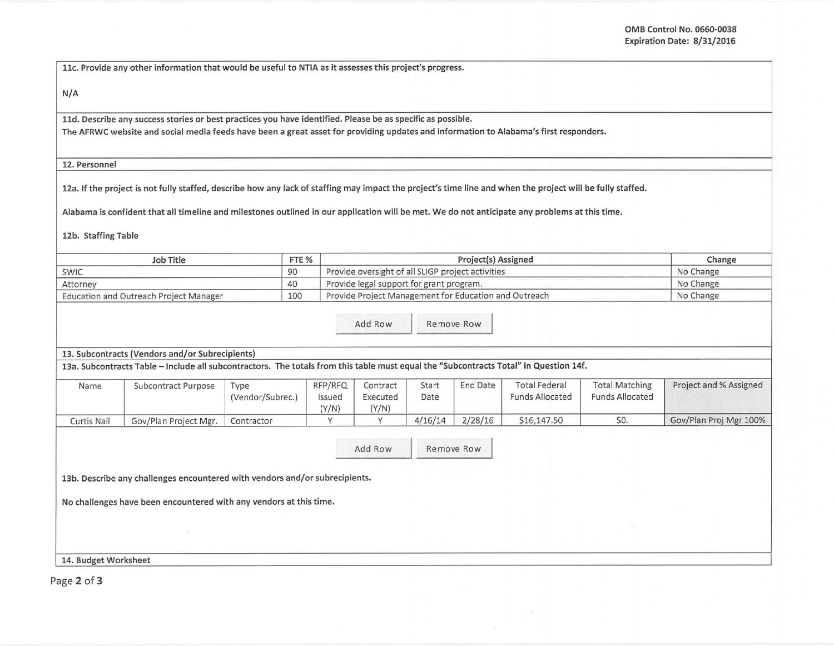11c. Provide any other information that would be useful to NTIA as it assesses this project's progress.

N/A

lld. Describe any success stories or best practices you have identified. Please be as specific as possible.

The AFRWC website and social media feeds have been a great asset for providing updates and information to Alabama's first responders.

12. Personnel

12a. If the project is not fully staffed, describe how any lack of staffing may impact the project's time line and when the project will be fully staffed.

Alabama is confident that all timeline and milestones outlined in our application will be met. We do not anticipate any problems at this time.

12b. Staffing Table

| Job Title                                     | FTE % | Project(s) Assigned                                   | Change    |
|-----------------------------------------------|-------|-------------------------------------------------------|-----------|
| SWIC                                          | 90    | Provide oversight of all SLIGP project activities     | No Change |
| Attorney                                      | 40    | Provide legal support for grant program.              | No Change |
| <b>Education and Outreach Project Manager</b> | 100   | Provide Project Management for Education and Outreach | No Change |

Add Row Remove Row

13. Subcontracts (Vendors and/or Subrecipients)

13a. Subcontracts Table- Include all subcontractors. The totals from this table must equal the "Subcontracts Total" in Question 14f.

| Name        | Subcontract Purpose   | Type<br>(Vendor/Subrec.) | RFP/RFQ<br>ssued<br>(Y/N) | Contract<br>Executed<br>(Y/N) | Start<br>Date | End Date | <b>Total Federal</b><br><b>Funds Allocated</b> | <b>Total Matching</b><br><b>Funds Allocated</b> | Project and % Assigned |
|-------------|-----------------------|--------------------------|---------------------------|-------------------------------|---------------|----------|------------------------------------------------|-------------------------------------------------|------------------------|
| Curtis Nail | Gov/Plan Project Mgr. | Contractor               |                           |                               | 4/16/14       | 2/28/16  | \$16,147.50                                    | \$0.                                            | Gov/Plan Proj Mgr 100% |

Add Row Remove Row

13b. Describe any challenges encountered with vendors and/or subrecipients.

No challenges have been encountered with any vendors at this time.

14. Budget Worksheet

Page 2 of 3